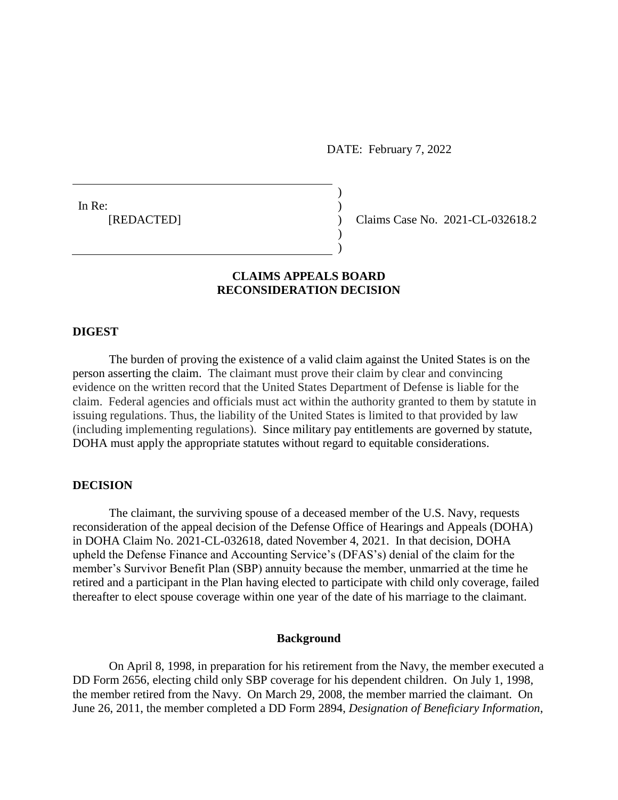DATE: February 7, 2022

 $)$ 

) )

In Re:  $\qquad \qquad$ )

[REDACTED] ) Claims Case No. 2021-CL-032618.2

# **CLAIMS APPEALS BOARD RECONSIDERATION DECISION**

### **DIGEST**

The burden of proving the existence of a valid claim against the United States is on the person asserting the claim. The claimant must prove their claim by clear and convincing evidence on the written record that the United States Department of Defense is liable for the claim. Federal agencies and officials must act within the authority granted to them by statute in issuing regulations. Thus, the liability of the United States is limited to that provided by law (including implementing regulations). Since military pay entitlements are governed by statute, DOHA must apply the appropriate statutes without regard to equitable considerations.

## **DECISION**

The claimant, the surviving spouse of a deceased member of the U.S. Navy, requests reconsideration of the appeal decision of the Defense Office of Hearings and Appeals (DOHA) in DOHA Claim No. 2021-CL-032618, dated November 4, 2021. In that decision, DOHA upheld the Defense Finance and Accounting Service's (DFAS's) denial of the claim for the member's Survivor Benefit Plan (SBP) annuity because the member, unmarried at the time he retired and a participant in the Plan having elected to participate with child only coverage, failed thereafter to elect spouse coverage within one year of the date of his marriage to the claimant.

### **Background**

On April 8, 1998, in preparation for his retirement from the Navy, the member executed a DD Form 2656, electing child only SBP coverage for his dependent children. On July 1, 1998, the member retired from the Navy. On March 29, 2008, the member married the claimant. On June 26, 2011, the member completed a DD Form 2894, *Designation of Beneficiary Information*,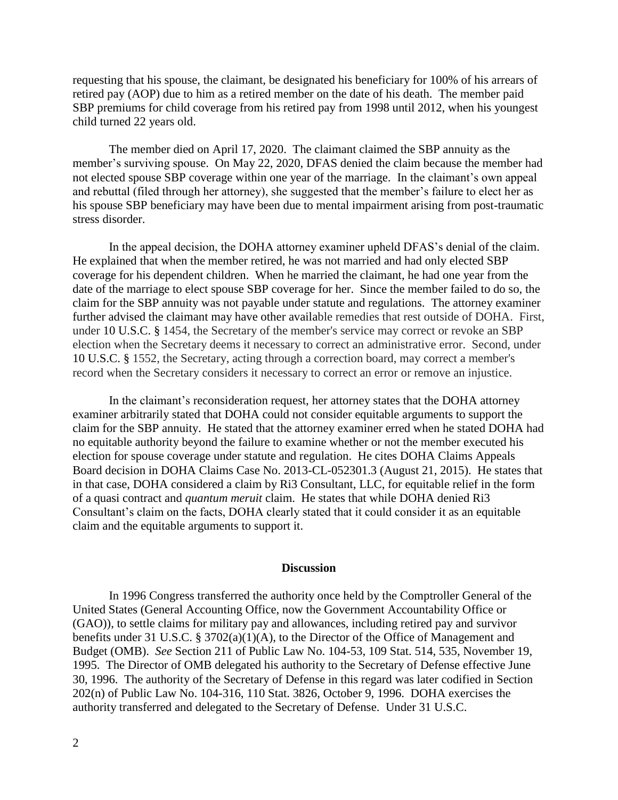requesting that his spouse, the claimant, be designated his beneficiary for 100% of his arrears of retired pay (AOP) due to him as a retired member on the date of his death. The member paid SBP premiums for child coverage from his retired pay from 1998 until 2012, when his youngest child turned 22 years old.

The member died on April 17, 2020. The claimant claimed the SBP annuity as the member's surviving spouse. On May 22, 2020, DFAS denied the claim because the member had not elected spouse SBP coverage within one year of the marriage. In the claimant's own appeal and rebuttal (filed through her attorney), she suggested that the member's failure to elect her as his spouse SBP beneficiary may have been due to mental impairment arising from post-traumatic stress disorder.

In the appeal decision, the DOHA attorney examiner upheld DFAS's denial of the claim. He explained that when the member retired, he was not married and had only elected SBP coverage for his dependent children. When he married the claimant, he had one year from the date of the marriage to elect spouse SBP coverage for her. Since the member failed to do so, the claim for the SBP annuity was not payable under statute and regulations. The attorney examiner further advised the claimant may have other available remedies that rest outside of DOHA. First, under [10 U.S.C. § 1454,](https://1.next.westlaw.com/Link/Document/FullText?findType=L&pubNum=1000546&cite=10USCAS1454&originatingDoc=I3391ff1d4ff411e798dc8b09b4f043e0&refType=LQ&originationContext=document&transitionType=DocumentItem&contextData=(sc.Search)) the Secretary of the member's service may correct or revoke an SBP election when the Secretary deems it necessary to correct an administrative error. Second, under [10 U.S.C. § 1552,](https://1.next.westlaw.com/Link/Document/FullText?findType=L&pubNum=1000546&cite=10USCAS1552&originatingDoc=I3391ff1d4ff411e798dc8b09b4f043e0&refType=LQ&originationContext=document&transitionType=DocumentItem&contextData=(sc.Search)) the Secretary, acting through a correction board, may correct a member's record when the Secretary considers it necessary to correct an error or remove an injustice.

In the claimant's reconsideration request, her attorney states that the DOHA attorney examiner arbitrarily stated that DOHA could not consider equitable arguments to support the claim for the SBP annuity. He stated that the attorney examiner erred when he stated DOHA had no equitable authority beyond the failure to examine whether or not the member executed his election for spouse coverage under statute and regulation. He cites DOHA Claims Appeals Board decision in DOHA Claims Case No. 2013-CL-052301.3 (August 21, 2015). He states that in that case, DOHA considered a claim by Ri3 Consultant, LLC, for equitable relief in the form of a quasi contract and *quantum meruit* claim. He states that while DOHA denied Ri3 Consultant's claim on the facts, DOHA clearly stated that it could consider it as an equitable claim and the equitable arguments to support it.

#### **Discussion**

In 1996 Congress transferred the authority once held by the Comptroller General of the United States (General Accounting Office, now the Government Accountability Office or (GAO)), to settle claims for military pay and allowances, including retired pay and survivor benefits under 31 U.S.C. § 3702(a)(1)(A), to the Director of the Office of Management and Budget (OMB). *See* Section 211 of Public Law No. 104-53, 109 Stat. 514, 535, November 19, 1995. The Director of OMB delegated his authority to the Secretary of Defense effective June 30, 1996. The authority of the Secretary of Defense in this regard was later codified in Section 202(n) of Public Law No. 104-316, 110 Stat. 3826, October 9, 1996. DOHA exercises the authority transferred and delegated to the Secretary of Defense. Under 31 U.S.C.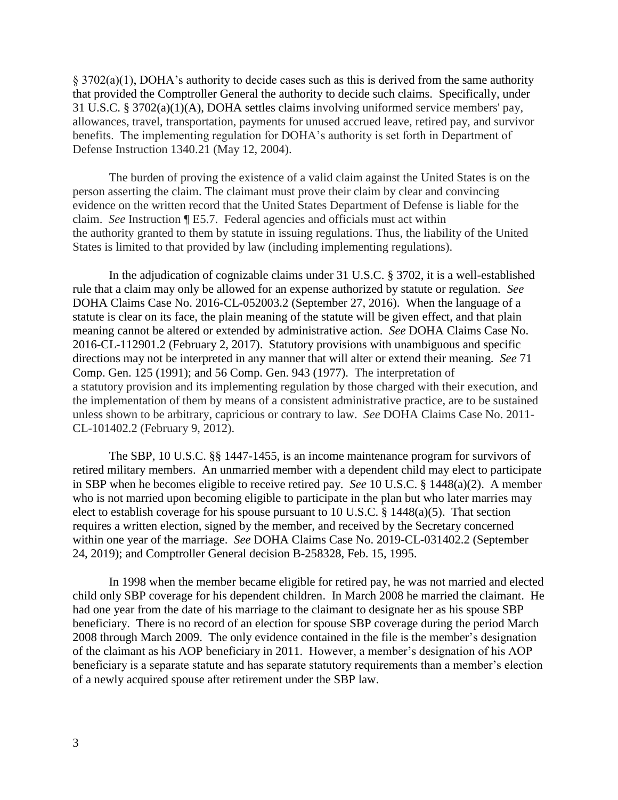$\S 3702(a)(1)$ , DOHA's authority to decide cases such as this is derived from the same authority that provided the Comptroller General the authority to decide such claims. Specifically, under 31 U.S.C. § 3702(a)(1)(A), DOHA settles claims involving uniformed service members' pay, allowances, travel, transportation, payments for unused accrued leave, retired pay, and survivor benefits. The implementing regulation for DOHA's authority is set forth in Department of Defense Instruction 1340.21 (May 12, 2004).

The burden of proving the existence of a valid claim against the United States is on the person asserting the claim. The claimant must prove their claim by clear and convincing evidence on the written record that the United States Department of Defense is liable for the claim. *See* Instruction ¶ E5.7. Federal agencies and officials must act within the authority granted to them by statute in issuing regulations. Thus, the liability of the United States is limited to that provided by law (including implementing regulations).

In the adjudication of cognizable claims under 31 U.S.C. § 3702, it is a well-established rule that a claim may only be allowed for an expense authorized by statute or regulation. *See*  DOHA Claims Case No. 2016-CL-052003.2 (September 27, 2016). When the language of a statute is clear on its face, the plain meaning of the statute will be given effect, and that plain meaning cannot be altered or extended by administrative action. *See* DOHA Claims Case No. 2016-CL-112901.2 (February 2, 2017). Statutory provisions with unambiguous and specific directions may not be interpreted in any manner that will alter or extend their meaning. *See* 71 Comp. Gen. 125 (1991); and 56 Comp. Gen. 943 (1977). The interpretation of a statutory provision and its implementing regulation by those charged with their execution, and the implementation of them by means of a consistent administrative practice, are to be sustained unless shown to be arbitrary, capricious or contrary to law. *See* DOHA Claims Case No. 2011- CL-101402.2 (February 9, 2012).

The SBP, 10 U.S.C. §§ 1447-1455, is an income maintenance program for survivors of retired military members. An unmarried member with a dependent child may elect to participate in SBP when he becomes eligible to receive retired pay. *See* 10 U.S.C. § 1448(a)(2). A member who is not married upon becoming eligible to participate in the plan but who later marries may elect to establish coverage for his spouse pursuant to 10 U.S.C. § 1448(a)(5). That section requires a written election, signed by the member, and received by the Secretary concerned within one year of the marriage. *See* DOHA Claims Case No. 2019-CL-031402.2 (September 24, 2019); and Comptroller General decision B-258328, Feb. 15, 1995.

In 1998 when the member became eligible for retired pay, he was not married and elected child only SBP coverage for his dependent children. In March 2008 he married the claimant. He had one year from the date of his marriage to the claimant to designate her as his spouse SBP beneficiary. There is no record of an election for spouse SBP coverage during the period March 2008 through March 2009. The only evidence contained in the file is the member's designation of the claimant as his AOP beneficiary in 2011. However, a member's designation of his AOP beneficiary is a separate statute and has separate statutory requirements than a member's election of a newly acquired spouse after retirement under the SBP law.